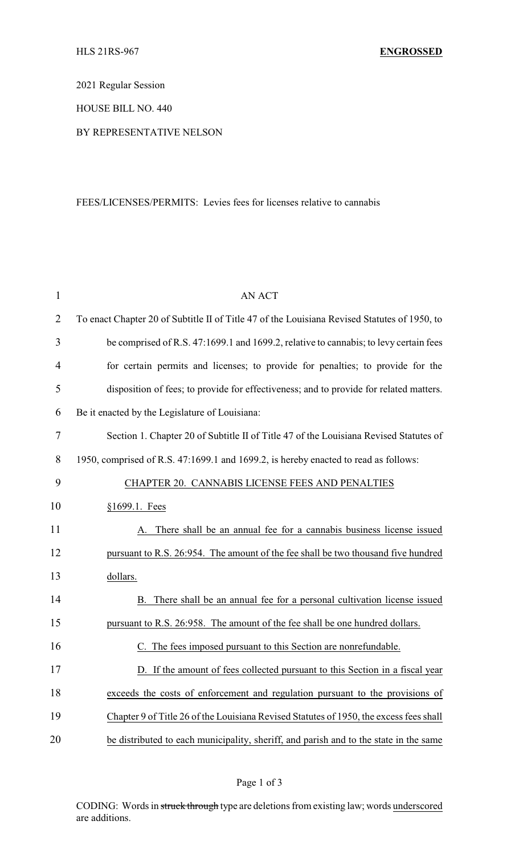2021 Regular Session

HOUSE BILL NO. 440

BY REPRESENTATIVE NELSON

## FEES/LICENSES/PERMITS: Levies fees for licenses relative to cannabis

| $\mathbf{1}$   | <b>AN ACT</b>                                                                                |
|----------------|----------------------------------------------------------------------------------------------|
| $\overline{2}$ | To enact Chapter 20 of Subtitle II of Title 47 of the Louisiana Revised Statutes of 1950, to |
| 3              | be comprised of R.S. 47:1699.1 and 1699.2, relative to cannabis; to levy certain fees        |
| 4              | for certain permits and licenses; to provide for penalties; to provide for the               |
| 5              | disposition of fees; to provide for effectiveness; and to provide for related matters.       |
| 6              | Be it enacted by the Legislature of Louisiana:                                               |
| 7              | Section 1. Chapter 20 of Subtitle II of Title 47 of the Louisiana Revised Statutes of        |
| 8              | 1950, comprised of R.S. 47:1699.1 and 1699.2, is hereby enacted to read as follows:          |
| 9              | CHAPTER 20. CANNABIS LICENSE FEES AND PENALTIES                                              |
| 10             | §1699.1. Fees                                                                                |
| 11             | A. There shall be an annual fee for a cannabis business license issued                       |
| 12             | pursuant to R.S. 26:954. The amount of the fee shall be two thousand five hundred            |
| 13             | dollars.                                                                                     |
| 14             | B. There shall be an annual fee for a personal cultivation license issued                    |
| 15             | pursuant to R.S. 26:958. The amount of the fee shall be one hundred dollars.                 |
| 16             | The fees imposed pursuant to this Section are nonrefundable.                                 |
| 17             | D. If the amount of fees collected pursuant to this Section in a fiscal year                 |
| 18             | exceeds the costs of enforcement and regulation pursuant to the provisions of                |
| 19             | Chapter 9 of Title 26 of the Louisiana Revised Statutes of 1950, the excess fees shall       |
| 20             | be distributed to each municipality, sheriff, and parish and to the state in the same        |

CODING: Words in struck through type are deletions from existing law; words underscored are additions.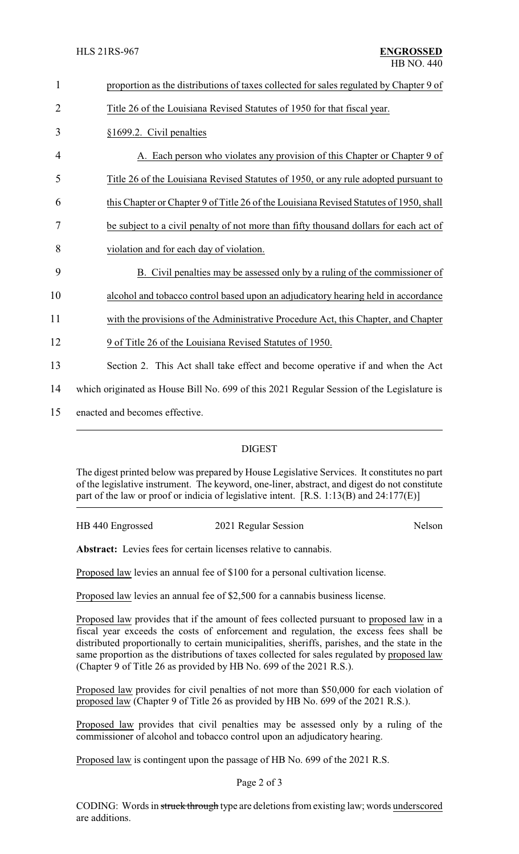| $\mathbf{1}$ | proportion as the distributions of taxes collected for sales regulated by Chapter 9 of    |  |  |
|--------------|-------------------------------------------------------------------------------------------|--|--|
| 2            | Title 26 of the Louisiana Revised Statutes of 1950 for that fiscal year.                  |  |  |
| 3            | §1699.2. Civil penalties                                                                  |  |  |
| 4            | A. Each person who violates any provision of this Chapter or Chapter 9 of                 |  |  |
| 5            | Title 26 of the Louisiana Revised Statutes of 1950, or any rule adopted pursuant to       |  |  |
| 6            | this Chapter or Chapter 9 of Title 26 of the Louisiana Revised Statutes of 1950, shall    |  |  |
| 7            | be subject to a civil penalty of not more than fifty thousand dollars for each act of     |  |  |
| 8            | violation and for each day of violation.                                                  |  |  |
| 9            | B. Civil penalties may be assessed only by a ruling of the commissioner of                |  |  |
| 10           | alcohol and tobacco control based upon an adjudicatory hearing held in accordance         |  |  |
| 11           | with the provisions of the Administrative Procedure Act, this Chapter, and Chapter        |  |  |
| 12           | 9 of Title 26 of the Louisiana Revised Statutes of 1950.                                  |  |  |
| 13           | Section 2. This Act shall take effect and become operative if and when the Act            |  |  |
| 14           | which originated as House Bill No. 699 of this 2021 Regular Session of the Legislature is |  |  |
| 15           | enacted and becomes effective.                                                            |  |  |
|              |                                                                                           |  |  |

## DIGEST

The digest printed below was prepared by House Legislative Services. It constitutes no part of the legislative instrument. The keyword, one-liner, abstract, and digest do not constitute part of the law or proof or indicia of legislative intent. [R.S. 1:13(B) and 24:177(E)]

| HB 440 Engrossed | 2021 Regular Session |        |
|------------------|----------------------|--------|
|                  |                      | Nelson |
|                  |                      |        |

Abstract: Levies fees for certain licenses relative to cannabis.

Proposed law levies an annual fee of \$100 for a personal cultivation license.

Proposed law levies an annual fee of \$2,500 for a cannabis business license.

Proposed law provides that if the amount of fees collected pursuant to proposed law in a fiscal year exceeds the costs of enforcement and regulation, the excess fees shall be distributed proportionally to certain municipalities, sheriffs, parishes, and the state in the same proportion as the distributions of taxes collected for sales regulated by proposed law (Chapter 9 of Title 26 as provided by HB No. 699 of the 2021 R.S.).

Proposed law provides for civil penalties of not more than \$50,000 for each violation of proposed law (Chapter 9 of Title 26 as provided by HB No. 699 of the 2021 R.S.).

Proposed law provides that civil penalties may be assessed only by a ruling of the commissioner of alcohol and tobacco control upon an adjudicatory hearing.

Proposed law is contingent upon the passage of HB No. 699 of the 2021 R.S.